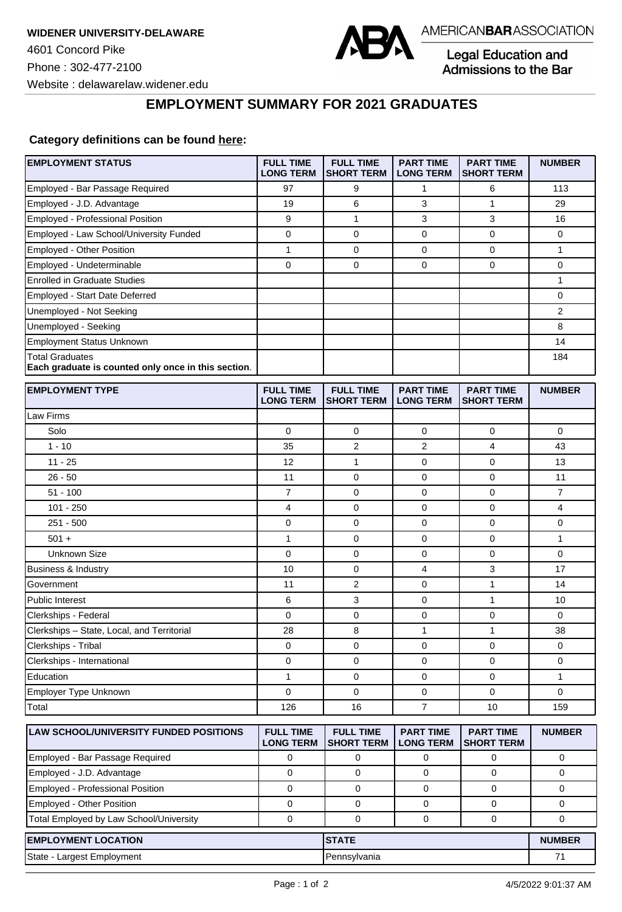

Legal Education and<br>Admissions to the Bar

**EMPLOYMENT SUMMARY FOR 2021 GRADUATES**

## **Category definitions can be found [here:](https://www.americanbar.org/content/dam/aba/administrative/legal_education_and_admissions_to_the_bar/Questionnaires/2021/2022-employment-protocols-for-the-class-of-2021-september-2021.pdf)**

| <b>EMPLOYMENT STATUS</b>                                                      | <b>FULL TIME</b><br><b>LONG TERM</b> | <b>FULL TIME</b><br><b>SHORT TERM</b> | <b>PART TIME</b><br><b>LONG TERM</b> | <b>PART TIME</b><br><b>SHORT TERM</b> | <b>NUMBER</b>  |
|-------------------------------------------------------------------------------|--------------------------------------|---------------------------------------|--------------------------------------|---------------------------------------|----------------|
| Employed - Bar Passage Required                                               | 97                                   | 9                                     | 1                                    | 6                                     | 113            |
| Employed - J.D. Advantage                                                     | 19                                   | 6                                     | 3                                    | $\mathbf{1}$                          | 29             |
| Employed - Professional Position                                              | 9                                    | 1                                     | 3                                    | 3                                     | 16             |
| Employed - Law School/University Funded                                       | $\mathbf 0$                          | 0                                     | 0                                    | $\mathbf 0$                           | 0              |
| Employed - Other Position                                                     | $\mathbf{1}$                         | 0                                     | $\mathbf 0$                          | $\mathbf 0$                           | $\mathbf{1}$   |
| Employed - Undeterminable                                                     | $\mathbf 0$                          | 0                                     | 0                                    | $\mathbf 0$                           | 0              |
| <b>Enrolled in Graduate Studies</b>                                           |                                      |                                       |                                      |                                       | $\mathbf{1}$   |
| Employed - Start Date Deferred                                                |                                      |                                       |                                      |                                       | 0              |
| Unemployed - Not Seeking                                                      |                                      |                                       |                                      |                                       | 2              |
| Unemployed - Seeking                                                          |                                      |                                       |                                      |                                       | 8              |
| <b>Employment Status Unknown</b>                                              |                                      |                                       |                                      |                                       | 14             |
| <b>Total Graduates</b><br>Each graduate is counted only once in this section. |                                      |                                       |                                      |                                       | 184            |
| <b>EMPLOYMENT TYPE</b>                                                        | <b>FULL TIME</b><br><b>LONG TERM</b> | <b>FULL TIME</b><br><b>SHORT TERM</b> | <b>PART TIME</b><br><b>LONG TERM</b> | <b>PART TIME</b><br><b>SHORT TERM</b> | <b>NUMBER</b>  |
| Law Firms                                                                     |                                      |                                       |                                      |                                       |                |
| Solo                                                                          | $\Omega$                             | 0                                     | 0                                    | 0                                     | 0              |
| $1 - 10$                                                                      | 35                                   | $\overline{2}$                        | $\overline{2}$                       | $\overline{4}$                        | 43             |
| $11 - 25$                                                                     | 12                                   | $\mathbf{1}$                          | 0                                    | $\mathbf 0$                           | 13             |
| $26 - 50$                                                                     | 11                                   | $\mathbf 0$                           | $\mathbf 0$                          | $\mathbf 0$                           | 11             |
| $51 - 100$                                                                    | $\overline{7}$                       | 0                                     | 0                                    | $\mathbf 0$                           | $\overline{7}$ |
| $101 - 250$                                                                   | 4                                    | 0                                     | 0                                    | $\mathbf 0$                           | 4              |
| $251 - 500$                                                                   | 0                                    | 0                                     | 0                                    | $\mathbf 0$                           | 0              |
| $501 +$                                                                       | 1                                    | 0                                     | 0                                    | $\mathbf 0$                           | $\mathbf{1}$   |
| <b>Unknown Size</b>                                                           | 0                                    | $\mathbf 0$                           | 0                                    | $\mathbf 0$                           | 0              |
| Business & Industry                                                           | 10                                   | 0                                     | 4                                    | 3                                     | 17             |
| Government                                                                    | 11                                   | $\overline{2}$                        | 0                                    | $\mathbf{1}$                          | 14             |
| <b>Public Interest</b>                                                        | 6                                    | 3                                     | 0                                    | $\mathbf{1}$                          | 10             |
| Clerkships - Federal                                                          | 0                                    | 0                                     | 0                                    | 0                                     | 0              |
| Clerkships - State, Local, and Territorial                                    | 28                                   | 8                                     | 1                                    | $\mathbf{1}$                          | 38             |
| Clerkships - Tribal                                                           | 0                                    | 0                                     | 0                                    | $\mathbf 0$                           | 0              |
| Clerkships - International                                                    | 0                                    | 0                                     | 0                                    | 0                                     | 0              |
| Education                                                                     | 1                                    | 0                                     | 0                                    | 0                                     | 1              |
| Employer Type Unknown                                                         | $\Omega$                             | 0                                     | 0                                    | $\Omega$                              | 0              |
| Total                                                                         | 126                                  | 16                                    | $\overline{7}$                       | 10                                    | 159            |
| LAW SCHOOL/UNIVERSITY FUNDED POSITIONS                                        | <b>FULL TIME</b><br><b>LONG TERM</b> | <b>FULL TIME</b><br><b>SHORT TERM</b> | <b>PART TIME</b><br><b>LONG TERM</b> | <b>PART TIME</b><br><b>SHORT TERM</b> | <b>NUMBER</b>  |
| Employed - Bar Passage Required                                               | 0                                    | 0                                     | 0                                    | 0                                     | 0              |
| Employed - J.D. Advantage                                                     | 0                                    | $\mathbf 0$                           | 0                                    | $\mathbf 0$                           | 0              |
| Employed - Professional Position                                              | $\mathbf 0$                          | $\mathbf 0$                           | 0                                    | $\mathbf 0$                           | 0              |
| Employed - Other Position                                                     | $\mathbf 0$                          | 0                                     | 0                                    | 0                                     | $\mathbf 0$    |
| Total Employed by Law School/University                                       | $\pmb{0}$                            | 0                                     | 0                                    | 0                                     | 0              |
| <b>EMPLOYMENT LOCATION</b><br><b>STATE</b>                                    |                                      |                                       |                                      | <b>NUMBER</b>                         |                |
| State - Largest Employment                                                    |                                      | Pennsylvania                          |                                      |                                       | 71             |
|                                                                               |                                      |                                       |                                      |                                       |                |